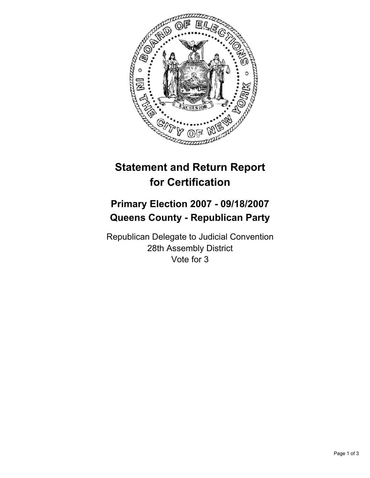

# **Statement and Return Report for Certification**

## **Primary Election 2007 - 09/18/2007 Queens County - Republican Party**

Republican Delegate to Judicial Convention 28th Assembly District Vote for 3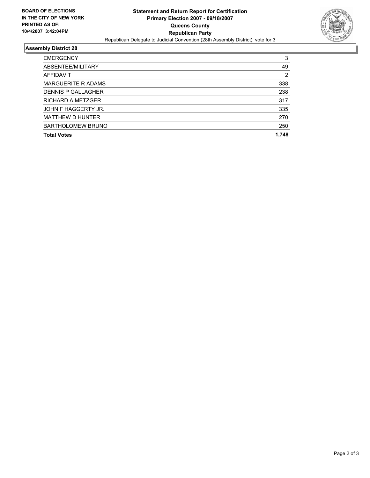

### **Assembly District 28**

| <b>EMERGENCY</b>          | 3     |
|---------------------------|-------|
| ABSENTEE/MILITARY         | 49    |
| AFFIDAVIT                 | 2     |
| <b>MARGUERITE R ADAMS</b> | 338   |
| <b>DENNIS P GALLAGHER</b> | 238   |
| RICHARD A METZGER         | 317   |
| JOHN F HAGGERTY JR.       | 335   |
| <b>MATTHEW D HUNTER</b>   | 270   |
| <b>BARTHOLOMEW BRUNO</b>  | 250   |
| <b>Total Votes</b>        | 1,748 |